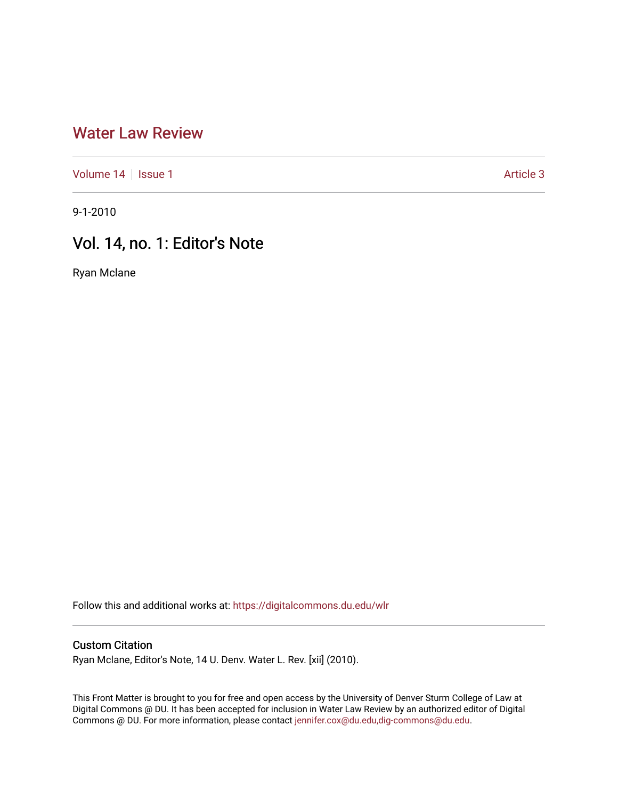## [Water Law Review](https://digitalcommons.du.edu/wlr)

[Volume 14](https://digitalcommons.du.edu/wlr/vol14) | [Issue 1](https://digitalcommons.du.edu/wlr/vol14/iss1) Article 3

9-1-2010

## Vol. 14, no. 1: Editor's Note

Ryan Mclane

Follow this and additional works at: [https://digitalcommons.du.edu/wlr](https://digitalcommons.du.edu/wlr?utm_source=digitalcommons.du.edu%2Fwlr%2Fvol14%2Fiss1%2F3&utm_medium=PDF&utm_campaign=PDFCoverPages) 

## Custom Citation

Ryan Mclane, Editor's Note, 14 U. Denv. Water L. Rev. [xii] (2010).

This Front Matter is brought to you for free and open access by the University of Denver Sturm College of Law at Digital Commons @ DU. It has been accepted for inclusion in Water Law Review by an authorized editor of Digital Commons @ DU. For more information, please contact [jennifer.cox@du.edu,dig-commons@du.edu.](mailto:jennifer.cox@du.edu,dig-commons@du.edu)